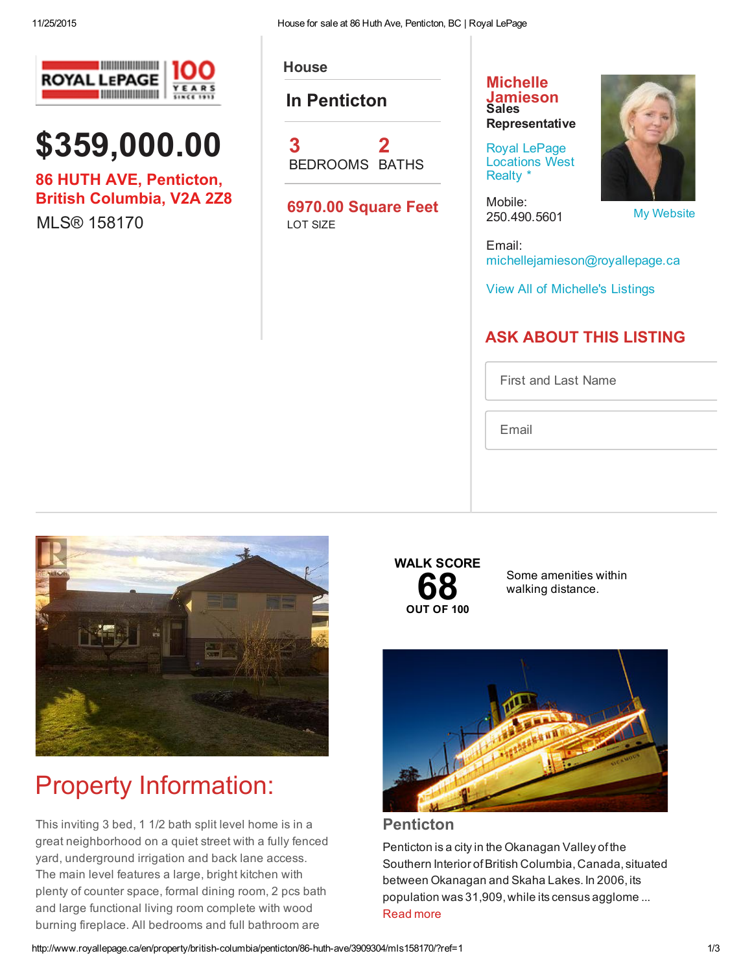\$359,000.00

**ROYAL LEPAGE** 

86 HUTH AVE, Penticton, British Columbia, V2A 2Z8

MLS® 158170



**House** 

In Penticton

3 BEDROOMS BATHS 2

6970.00 Square Feet LOT SIZE

### **Michelle** [Jamieson](http://www.royallepage.ca/en/agent/british-columbia/penticton/michelle-jamieson/12503/) Sales **Representative**

Royal LePage [Locations](http://www.royallepage.ca/en/office/british-columbia/penticton/royal-lepage-locations-west-realty/308/) West Realty \*

Mobile: 250.490.5601



My [Website](http://www.michellejamieson.ca/)

Email: michellejamieson@royallepage.ca

View All of [Michelle's](http://www.royallepage.ca/search/homes/by-agent/michelle-jamieson/12503/) Listings

### ASK ABOUT THIS LISTING

First and Last Name

Email



# Property Information:

This inviting 3 bed, 1 1/2 bath split level home is in a great neighborhood on a quiet street with a fully fenced yard, underground irrigation and back lane access. The main level features a large, bright kitchen with plenty of counter space, formal dining room, 2 pcs bath and large functional living room complete with wood burning fireplace. All bedrooms and full bathroom are



Some amenities within walking distance.



Penticton

Penticton is a city in the Okanagan Valley of the Southern Interior ofBritish Columbia,Canada, situated between Okanagan and Skaha Lakes. In 2006, its population was 31,909,while its census agglome ... [Read](http://www.royallepage.ca/en/bc/penticton) more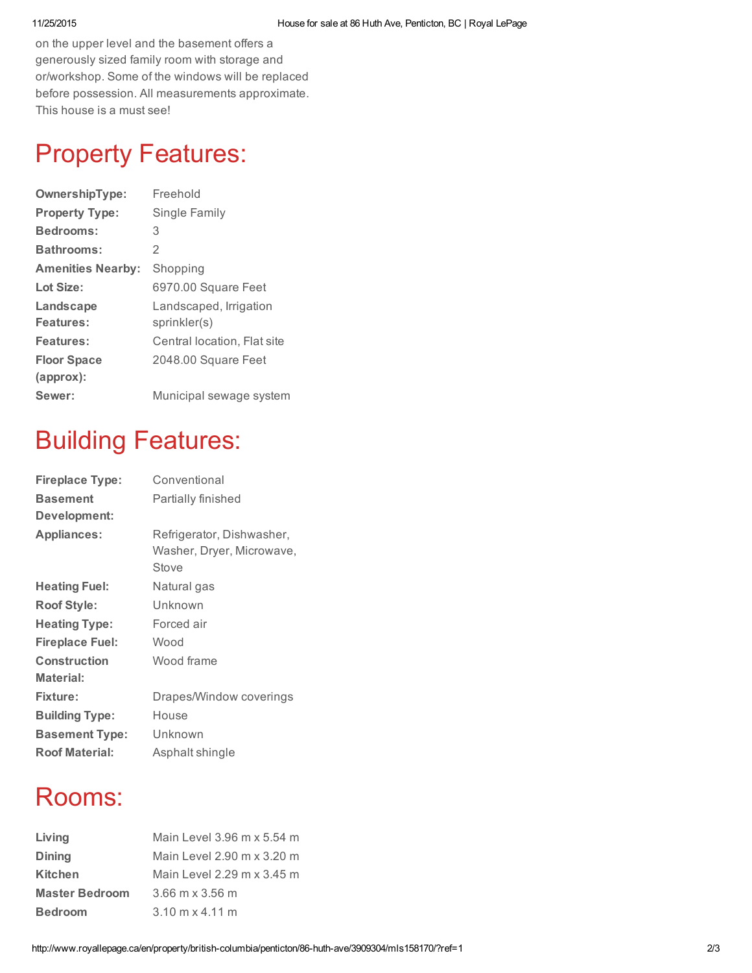on the upper level and the basement offers a generously sized family room with storage and or/workshop. Some of the windows will be replaced before possession. All measurements approximate. This house is a must see!

## Property Features:

| OwnershipType:           | Freehold                    |
|--------------------------|-----------------------------|
| <b>Property Type:</b>    | Single Family               |
| <b>Bedrooms:</b>         | 3                           |
| Bathrooms:               | $\mathfrak{D}$              |
| <b>Amenities Nearby:</b> | Shopping                    |
| Lot Size:                | 6970.00 Square Feet         |
| Landscape                | Landscaped, Irrigation      |
| Features:                | sprinkler(s)                |
| Features:                | Central location, Flat site |
| <b>Floor Space</b>       | 2048.00 Square Feet         |
| $(approx)$ :             |                             |
| Sewer:                   | Municipal sewage system     |

### Building Features:

| <b>Fireplace Type:</b> | Conventional              |
|------------------------|---------------------------|
| <b>Basement</b>        | Partially finished        |
| Development:           |                           |
| <b>Appliances:</b>     | Refrigerator, Dishwasher, |
|                        | Washer, Dryer, Microwave, |
|                        | Stove                     |
| <b>Heating Fuel:</b>   | Natural gas               |
| <b>Roof Style:</b>     | Unknown                   |
| <b>Heating Type:</b>   | Forced air                |
| <b>Fireplace Fuel:</b> | Wood                      |
| Construction           | Wood frame                |
| Material:              |                           |
| <b>Fixture:</b>        | Drapes/Window coverings   |
| <b>Building Type:</b>  | House                     |
| <b>Basement Type:</b>  | Unknown                   |
| <b>Roof Material:</b>  | Asphalt shingle           |

### Rooms:

| Living                | Main Level 3.96 m x 5.54 m             |
|-----------------------|----------------------------------------|
| <b>Dining</b>         | Main Level 2.90 m x 3.20 m             |
| Kitchen               | Main Level 2.29 m x 3.45 m             |
| <b>Master Bedroom</b> | $3.66$ m x $3.56$ m                    |
| <b>Bedroom</b>        | $3.10 \text{ m} \times 4.11 \text{ m}$ |